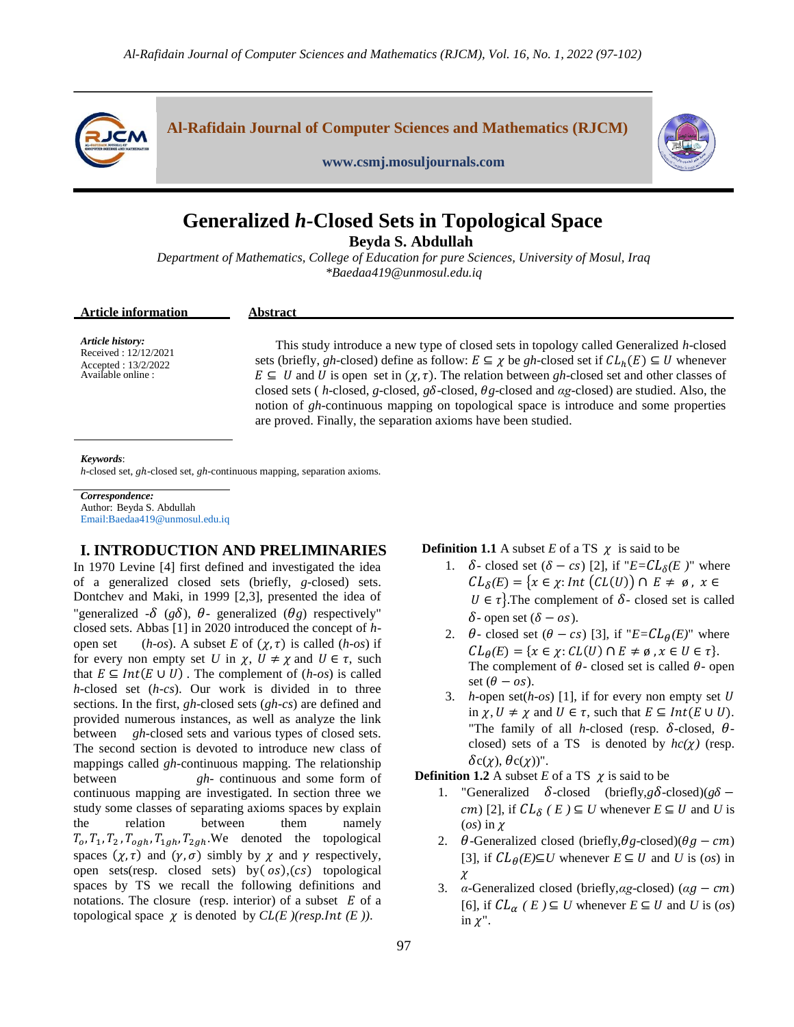

# **Generalized** *h-***Closed Sets in Topological Space**

**Beyda S. Abdullah**

*Department of Mathematics, College of Education for pure Sciences, University of Mosul, Iraq \*Baeda[a419@unmosul.edu.iq](mailto:419@unmosul.edu.iq)*

#### **Article information Abstract**

*Article history:* Received : 12/12/2021 Accepted : 13/2/2022 Available online :

This study introduce a new type of closed sets in topology called Generalized *h*-closed sets (briefly, *gh*-closed) define as follow:  $E \subseteq \chi$  be *gh*-closed set if  $CL_h(E) \subseteq U$  whenever  $E \subseteq U$  and U is open set in  $(\chi, \tau)$ . The relation between *gh*-closed set and other classes of closed sets ( *h*-closed, *g*-closed, *g* -closed, *g*-closed and *αg*-closed) are studied. Also, the notion of *gh*-continuous mapping on topological space is introduce and some properties are proved. Finally, the separation axioms have been studied.

#### *Keywords*:

*h*-closed set, *gh*-closed set, *gh*-continuous mapping, separation axioms.

*Correspondence:* Author: Beyda S. Abdullah Email:Baeda[a419@unmosul.edu.iq](mailto:419@unmosul.edu.iq)

## **I. INTRODUCTION AND PRELIMINARIES**

In 1970 Levine [4] first defined and investigated the idea of a generalized closed sets (briefly, *g*-closed) sets. Dontchev and Maki, in 1999 [2,3], presented the idea of "generalized  $-\delta$  ( $g\delta$ ),  $\theta$ - generalized ( $\theta$ g) respectively" closed sets. Abbas [1] in 2020 introduced the concept of *h*open set (*h-os*). A subset *E* of  $(\chi, \tau)$  is called (*h-os*) if for every non empty set U in  $\chi$ ,  $U \neq \chi$  and  $U \in \tau$ , such that  $E \subseteq Int(E \cup U)$ . The complement of  $(h\text{-}os)$  is called *h*-closed set (*h-cs*). Our work is divided in to three sections. In the first, *gh*-closed sets (*gh-cs*) are defined and provided numerous instances, as well as analyze the link between *gh-*closed sets and various types of closed sets. The second section is devoted to introduce new class of mappings called *gh-*continuous mapping. The relationship between *gh*- continuous and some form of continuous mapping are investigated. In section three we study some classes of separating axioms spaces by explain the relation between them namely  $T_0$ ,  $T_1$ ,  $T_2$ ,  $T_{\rho ah}$ ,  $T_{1ah}$ ,  $T_{2ah}$ . We denoted the topological spaces  $(\chi, \tau)$  and  $(\gamma, \sigma)$  simbly by  $\chi$  and  $\gamma$  respectively, open sets(resp. closed sets) by  $(os)$ ,  $(cs)$  topological spaces by TS we recall the following definitions and notations. The closure (resp. interior) of a subset  $E$  of a topological space  $\chi$  is denoted by *CL(E )(resp. Int (E ))*.

**Definition 1.1** A subset *E* of a TS  $\chi$  is said to be

- 1.  $\delta$  closed set  $(\delta cs)$  [2], if " $E = CL_{\delta}(E)$ " where  $CL_{\delta}(E) = \{x \in \chi : Int(CL(U)) \cap E \neq \emptyset, x \in$  $U \in \tau$ . The complement of  $\delta$ - closed set is called  $\delta$ - open set  $(\delta - \omega s)$ .
- 2.  $\theta$  closed set  $(\theta cs)$  [3], if " $E = CL_{\theta}(E)$ " where  $CL_{\theta}(E) = \{x \in \chi : CL(U) \cap E \neq \emptyset, x \in U \in \tau\}.$ The complement of  $\theta$ - closed set is called  $\theta$ - open set  $(\theta - os)$ .
- 3. *h*-open set(*h-os*) [1], if for every non empty set in  $\chi$ ,  $U \neq \chi$  and  $U \in \tau$ , such that  $E \subseteq Int(E \cup U)$ . "The family of all *h*-closed (resp.  $\delta$ -closed,  $\theta$ closed) sets of a TS is denoted by  $hc(\chi)$  (resp.  $\delta c(\chi)$ ,  $\theta c(\chi)$ ".

**Definition 1.2** A subset *E* of a TS  $\chi$  is said to be

- 1. "Generalized  $\delta$ -closed (briefly, *g* $\delta$ -closed)(*g* $\delta$   $(m)$  [2], if  $CL_{\delta}$  ( $E$ )  $\subseteq U$  whenever  $E \subseteq U$  and U is  $($ os) in  $\chi$
- 2.  $\theta$ -Generalized closed (briefly,  $\theta$ g-closed)( $\theta$ g cm) [3], if  $CL_{\theta}(E) \subseteq U$  whenever  $E \subseteq U$  and *U* is (*os*) in  $\chi$
- 3. *α*-Generalized closed (briefly,*αg*-closed) (*αg cm*) [6], if  $CL_{\alpha}$  ( $E$ )  $\subseteq U$  whenever  $E \subseteq U$  and  $U$  is (*os*) in  $\chi$ ".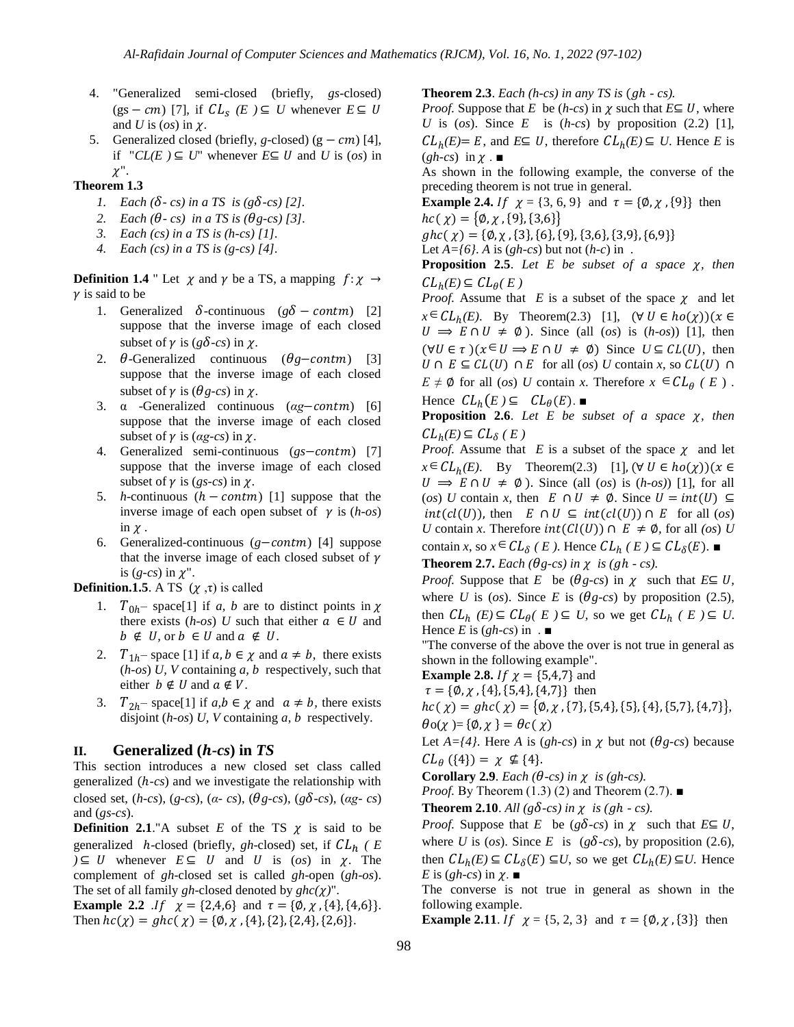- 4. "Generalized semi-closed (briefly, *gs*-closed)  $(gs-cm)$  [7], if  $CL_s$  (*E*)  $\subseteq U$  whenever  $E \subseteq$ and *U* is  $(\cos)$  in  $\chi$ .
- 5. Generalized closed (briefly, *g*-closed)  $(g cm)$  [4], if  $CLE \neq U$  whenever  $E \subseteq U$  and *U* is (*os*) in  $\chi$ ".

#### **Theorem 1.3**

- *1. Each* ( $\delta$ -*cs*) *in a TS is* ( $g\delta$ -*cs*) [2].
- 2. *Each*  $(\theta cs)$  *in a TS is*  $(\theta g cs)$  [3].
- *3. Each (cs) in a TS is (h-cs) [1].*
- *4. Each (cs) in a TS is (g-cs) [4].*

**Definition 1.4** " Let  $\chi$  and  $\gamma$  be a TS, a mapping  $f: \chi \rightarrow$  $\gamma$  is said to be

- 1. Generalized  $\delta$ -continuous ( $g\delta$  contm.) [2] suppose that the inverse image of each closed subset of  $\gamma$  is ( $g\delta$ -*cs*) in  $\chi$ .
- 2.  $\theta$ -Generalized continuous ( $\theta$ *g*-contm) [3] suppose that the inverse image of each closed subset of  $\gamma$  is ( $\theta$ *g-cs*) in  $\chi$ .
- 3. α -Generalized continuous (ag-contm) [6] suppose that the inverse image of each closed subset of  $\gamma$  is ( $\alpha$ *g-cs*) in  $\gamma$ .
- 4. Generalized semi-continuous (*gs*-contm) [7] suppose that the inverse image of each closed subset of  $\gamma$  is (*gs-cs*) in  $\gamma$ .
- 5. *h*-continuous  $(h \text{contm})$  [1] suppose that the inverse image of each open subset of  $\gamma$  is (*h-os*) in  $\chi$ .
- 6. Generalized-continuous  $(g$ -contm) [4] suppose that the inverse image of each closed subset of  $\gamma$ is  $(g-cs)$  in  $\chi$ ".

**Definition.1.5**. A TS  $(\chi, \tau)$  is called

- 1.  $T_{0h}$  space[1] if *a, b* are to distinct points in  $\chi$ there exists  $(h\text{-}os)$  *U* such that either  $a \in U$  and  $b \notin U$ , or  $b \in U$  and  $a \notin U$ .
- 2.  $T_{1h}$  space [1] if  $a, b \in \chi$  and  $a \neq b$ , there exists (*h-os*) *U, V* containing *a, b* respectively, such that either  $b \notin U$  and  $a \notin V$ .
- 3.  $T_{2h}$  space[1] if  $a, b \in \chi$  and  $a \neq b$ , there exists disjoint (*h-os*) *U, V* containing *a, b* respectively.

## **II. Generalized (** *-cs***) in** *TS*

This section introduces a new closed set class called generalized (*h-cs*) and we investigate the relationship with closed set,  $(h-cs)$ ,  $(g-cs)$ ,  $(a-cs)$ ,  $(\theta g-cs)$ ,  $(g\delta-cs)$ ,  $(\alpha g-cs)$ and (*gs-cs*).

**Definition 2.1**."A subset  $E$  of the TS  $\chi$  is said to be generalized *h*-closed (briefly, *gh*-closed) set, if  $CL_h$  (*E*  $\nu \subseteq U$  whenever  $E \subseteq U$  and U is (*os*) in  $\chi$ . The complement of *gh*-closed set is called *gh*-open (*gh-os*). The set of all family *gh*-closed denoted by  $ghc(\chi)$ ".

**Example 2.2** *.If*  $\chi = \{2, 4, 6\}$  and  $\tau = \{\emptyset, \chi, \{4\}, \{4, 6\}\}.$ Then  ${hc}(\chi) = g{hc}(\chi) = {\emptyset, \chi, \{4\}, \{2\}, \{2,4\}, \{2,6\}}.$ 

**Theorem 2.3**. *Each* (*h-cs*) *in any TS is* (*gh - cs*).

*Proof.* Suppose that *E* be  $(h-cs)$  in  $\gamma$  such that  $E \subseteq U$ , where *U* is (*os*). Since *E* is  $(h-cs)$  by proposition (2.2) [1],  $CL_h(E) = E$ , and  $E \subseteq U$ , therefore  $CL_h(E) \subseteq U$ . Hence *E* is  $(gh-cs)$  in  $\chi$ .

As shown in the following example, the converse of the preceding theorem is not true in general.

**Example 2.4.** If  $\chi = \{3, 6, 9\}$  and  $\tau = \{\emptyset, \chi, \{9\}\}\$  then  ${hc}(\chi) = {\phi, \chi, \{9\}, \{3,6\}}$ 

 ${ g } h c(\chi) = { \emptyset, \chi, \{ 3 \}, \{ 6 \}, \{ 9 \}, \{ 3, 6 \}, \{ 3, 9 \}, \{ 6, 9 \} }$ 

Let  $A = \{6\}$ . *A* is (*gh-cs*) but not (*h-c*) in.

**Proposition 2.5**. Let  $E$  be subset of a space  $\chi$ , then  $CL_h(E) \subseteq CL_\theta(E)$ 

*Proof.* Assume that *E* is a subset of the space  $\chi$  and let  $x \in CL_h(E)$ . By Theorem(2.3) [1],  $U \Rightarrow E \cap U \neq \emptyset$ ). Since (all (*os*) is (*h-os*)) [1], then  $(\forall U \in \tau)(x \in U \implies E \cap U \neq \emptyset)$  Since  $U \subseteq CL(U)$ , then  $U \cap E \subseteq CL(U) \cap E$  for all  $(\circ s)$  *U* contain *x*, so  $CL(U) \cap E$  $E \neq \emptyset$  for all *(os) U* contain *x*. Therefore  $x \in CL_{\theta}$  *(E)*. Hence  $CL_b(E) \subseteq CL_\theta(E)$ .

**Proposition 2.6**. Let  $E$  be subset of a space  $\chi$ , then  $CL_h(E) \subseteq CL_\delta(E)$ 

*Proof.* Assume that *E* is a subset of the space  $\chi$  and let  $x \in CL_h(E)$ . By Theorem(2.3) [1]  $U \Rightarrow E \cap U \neq \emptyset$ ). Since (all (*os*) is (*h-os*)) [1], for all (*os*) *U* contain *x*, then  $E \cap U \neq \emptyset$ . Since  $U = int(U) \subseteq$  $int(cl(U))$ , then  $E \cap U \subseteq int(cl(U)) \cap E$  for all  $(os)$ *U* contain *x*. Therefore *int*( $Cl(U)$ )  $\cap$   $E \neq \emptyset$ , for all *(os) U* contain *x*, so  $x \in CL_{\delta}$  (*E* ). Hence  $CL_{h}$  (*E* )  $\subseteq CL_{\delta}(E)$ .

**Theorem 2.7.** *Each* ( $\theta$ *g-cs*) *in*  $\chi$  *is* (*gh - cs*).

*Proof.* Suppose that *E* be  $(\theta g\text{-}cs)$  in  $\chi$  such that  $E \subseteq U$ , where *U* is (*os*). Since *E* is ( $\theta$ *g-cs*) by proposition (2.5), then  $CL_h$   $(E) \subseteq CL_\theta(E) \subseteq U$ , so we get  $CL_h(E) \subseteq U$ . Hence *E* is  $(gh-cs)$  in  $\blacksquare$ 

"The converse of the above the over is not true in general as shown in the following example".

**Example 2.8.** *If*  $\chi = \{5, 4, 7\}$  and

 $\tau = \{\emptyset, \chi, \{4\}, \{5,4\}, \{4,7\}\}\$  then

 ${hc}(\chi) = g{hc}(\chi) = {\phi, \chi, {7}, {5, 4}, {5}, {4}, {5, 7}, {4, 7}}.$  $\theta$ o(x )= { $\emptyset$ , x } =  $\theta$ c(x)

Let  $A = \{4\}$ . Here A is (*gh-cs*) in  $\chi$  but not ( $\theta$ *g-cs*) because  $CL_{\theta} (\{4\}) = \chi \nsubseteq \{4\}.$ 

**Corollary 2.9**. *Each* ( $\theta$ -*cs*) in  $\chi$  is ( $gh$ -*cs*).

*Proof.* By Theorem (1.3) (2) and Theorem (2.7). ■

**Theorem 2.10**. All ( $g\delta$ -cs) in  $\chi$  is ( $gh$  - cs).

*Proof.* Suppose that *E* be ( $g\delta$ -*cs*) in  $\chi$  such that  $E \subseteq U$ , where *U* is (*os*). Since *E* is ( $g\delta$ -*cs*), by proposition (2.6), then  $CL_h(E) \subseteq CL_\delta(E) \subseteq U$ , so we get  $CL_h(E) \subseteq U$ . Hence *E* is  $(gh-cs)$  in  $\gamma$ .

The converse is not true in general as shown in the following example.

**Example 2.11**. If  $\chi = \{5, 2, 3\}$  and  $\tau = \{\emptyset, \chi, \{3\}\}\$  then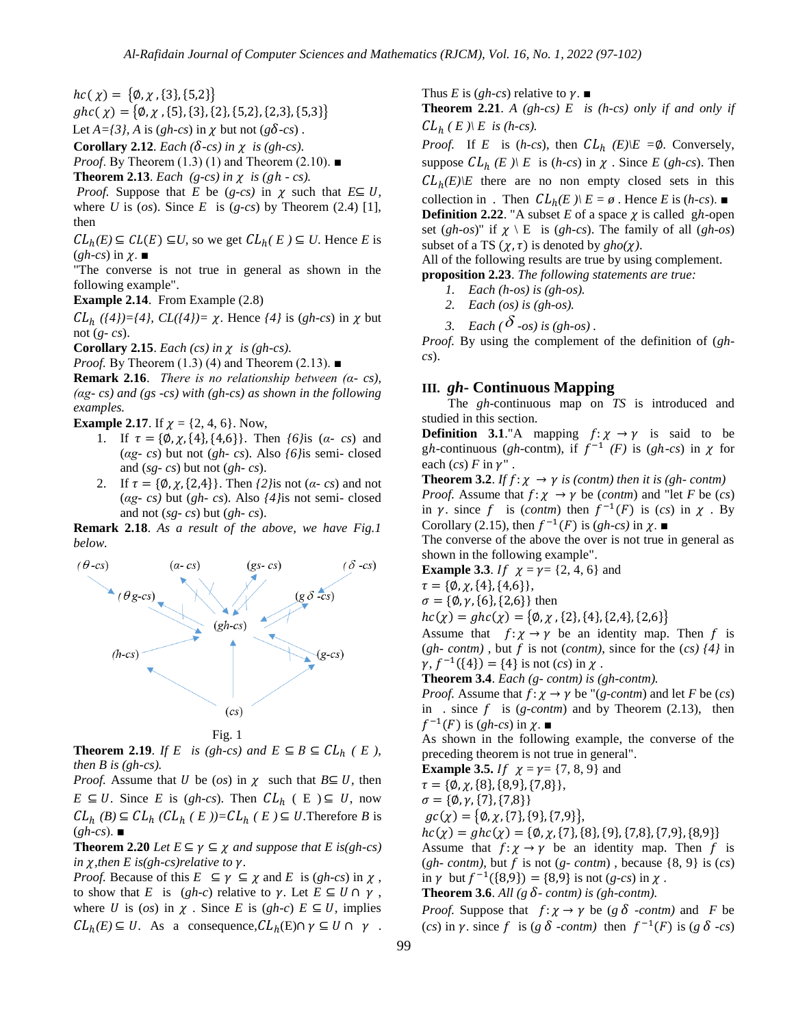${hc}(\chi) = {\phi, \chi, \{3\}, \{5,2\}}$ 

 ${ g}{ h}{ c}(\chi) = {\phi,\chi,\{5\},\{3\},\{2\},\{5,2\},\{2,3\},\{5,3\} }$ 

Let  $A = \{3\}$ , A is (*gh-cs*) in  $\chi$  but not ( $g\delta$ -*cs*).

**Corollary 2.12***. Each* ( $\delta$ -*cs*) in  $\chi$  is (gh-*cs*).

*Proof.* By Theorem (1.3) (1) and Theorem (2.10). ■

**Theorem 2.13**. *Each* (*g-cs*) in  $\chi$  is (*gh - cs*).

*Proof.* Suppose that *E* be (*g-cs*) in  $\chi$  such that  $E \subseteq U$ , where  $U$  is  $(os)$ . Since  $E$  is  $(g-cs)$  by Theorem  $(2.4)$  [1], then

 $CL_h(E) \subseteq CL(E) \subseteq U$ , so we get  $CL_h(E) \subseteq U$ . Hence *E* is  $(gh-cs)$  in  $\chi$ .  $\blacksquare$ 

"The converse is not true in general as shown in the following example".

**Example 2.14**. From Example (2.8)

 $CL_h$  ((4))={4},  $CL$ ((4))=  $\chi$ . Hence (4) is (*gh-cs*) in  $\chi$  but not (*g- cs*).

**Corollary 2.15**. *Each* (cs) in  $\chi$  is (gh-cs).

*Proof.* By Theorem (1.3) (4) and Theorem (2.13). ■

**Remark 2.16**. *There is no relationship between (α- cs), (αg- cs) and (gs -cs) with (gh-cs) as shown in the following examples.*

**Example 2.17.** If  $\chi = \{2, 4, 6\}$ . Now,

- 1. If  $\tau = {\emptyset, \chi, \{4\}, \{4,6\}}$ . Then *{6}*is (*α- cs*) and (*αg- cs*) but not (*gh- cs*). Also *{6}*is semi- closed and (*sg- cs*) but not (*gh- cs*).
- 2. If  $\tau = {\emptyset, \chi, {2,4}}$ . Then  $\langle 2 \rangle$  is not  $(\alpha cs)$  and not (*αg- cs)* but (*gh- cs*). Also *{4}*is not semi- closed and not (*sg- cs*) but (*gh- cs*).

**Remark 2.18**. *As a result of the above, we have Fig.1 below.*



Fig. 1

**Theorem 2.19.** *If* E *is (gh-cs)* and  $E \subseteq B \subseteq CL_h$  ( E ), *then B is (gh-cs).*

*Proof.* Assume that *U* be (*os*) in  $\chi$  such that  $B \subseteq U$ , then  $E \subseteq U$ . Since *E* is (*gh-cs*). Then  $CL_h$  ( E )  $\subseteq U$ , now  $CL_h(B) \subseteq CL_h(CL_h(E)) = CL_h(E) \subseteq U$ . Therefore *B* is (*gh-cs*). ■

**Theorem 2.20** *Let*  $E \subseteq \gamma \subseteq \chi$  *and suppose that*  $E$  *is*(*gh-cs*) *in*  $\chi$ *, then E is(gh-cs) relative to*  $\gamma$ *.* 

*Proof.* Because of this  $E \subseteq \gamma \subseteq \chi$  and  $E$  is  $(gh-cs)$  in  $\chi$ , to show that *E* is  $(gh-c)$  relative to  $\gamma$ . Let  $E \subseteq U \cap \gamma$ , where *U* is (*os*) in  $\chi$ . Since *E* is (*gh-c*)  $E \subseteq U$ , implies  $CL_h(E) \subseteq U$ . As a consequence,  $CL_h(E) \cap \gamma \subseteq U \cap \gamma$ . Thus *E* is (*gh-cs*) relative to  $\gamma$ .

**Theorem 2.21**. *A (gh-cs) E is (h-cs) only if and only if*   $CL_h$  (*E*)  $\setminus$  *E* is (*h*-cs).

*Proof.* If *E* is (*h-cs*), then  $CL_h$  (*E*) $\angle E = \emptyset$ . Conversely, suppose  $CL_h$  (*E*)  $\angle E$  is (*h-cs*) in  $\chi$ . Since *E* (*gh-cs*). Then  $CL_h(E)/E$  there are no non empty closed sets in this collection in . Then  $CL_h(E) \setminus E = \emptyset$ . Hence *E* is (*h-cs*). **Definition 2.22.** "A subset  $E$  of a space  $\chi$  is called gh-open set  $(gh\text{-}os)$ " if  $\chi \setminus E$  is  $(gh\text{-}cs)$ . The family of all  $(gh\text{-}os)$ subset of a TS  $(\chi, \tau)$  is denoted by  $gho(\chi)$ .

All of the following results are true by using complement. **proposition 2.23**. *The following statements are true:*

- *1. Each (h-os) is (gh-os).*
- *2. Each (os) is (gh-os).*
- 
- 3. *Each* ( $\delta$  -os) is (gh-os).

*Proof.* By using the complement of the definition of (*ghcs*).

## **III.** *gh***- Continuous Mapping**

 The *gh*-continuous map on *TS* is introduced and studied in this section.

**Definition 3.1**."A mapping  $f: \chi \rightarrow \gamma$  is said to be gh-continuous (gh-contm), if  $f^{-1}(F)$  is (gh-cs) in  $\chi$  for each  $(cs)$  *F* in  $\gamma$ "

**Theorem 3.2.** *If*  $f: \chi \rightarrow \gamma$  *is (contm) then it is (gh-contm) Proof.* Assume that  $f: \chi \rightarrow \gamma$  be (*contm*) and "let *F* be (*cs*) in  $\gamma$ . since f is (*contm*) then  $f^{-1}(F)$  is (*cs*) in  $\chi$ . By Corollary (2.15), then  $f^{-1}(F)$  is  $(gh\text{-}cs)$  in  $\chi$ .

The converse of the above the over is not true in general as shown in the following example".

**Example 3.3.** If  $\chi = \gamma = \{2, 4, 6\}$  and

 ${\tau} = {\emptyset, \chi, \{4\}, \{4,6\}\},\$ 

 ${\sigma} = {\phi, \gamma, \{6\}, \{2,6\}}$  then

 ${hc}(\chi) = g{hc}(\chi) = {\phi, \chi, \{2\}, \{4\}, \{2,4\}, \{2,6\}}$ 

Assume that  $f: \chi \to \gamma$  be an identity map. Then f is  $(gh$ - *contm*), but f is not (*contm*), since for the (*cs*)  $\{4\}$  in  $\gamma$ ,  $f^{-1}(\{4\}) = \{4\}$  is not  $(cs)$  in  $\chi$ .

**Theorem 3.4**. *Each (g- contm) is (gh-contm).* 

*Proof.* Assume that  $f: \chi \rightarrow \gamma$  be "(*g-contm*) and let *F* be (*cs*) in . since  $f$  is  $(g$ -*contm*) and by Theorem (2.13), then  $f^{-1}(F)$  is (*gh-cs*) in  $\chi$ . ■

As shown in the following example, the converse of the preceding theorem is not true in general".

**Example 3.5.** If  $\chi = \gamma = \{7, 8, 9\}$  and

 ${\tau} = {\emptyset, \chi, {8}, {8, 9}, {7, 8}}$ 

 $\sigma = {\emptyset, \gamma, {7}, {7,8}}$ 

 ${gc}(\chi) = {\phi, \chi, {7}, {9}, {7,9}}$ 

 ${hc}(\chi) = g{hc}(\chi) = {\emptyset, \chi, {\{7\}, \{8\}, \{9\}, \{7,8\}, \{7,9\}, \{8,9\}\}}$ 

Assume that  $f: \chi \to \gamma$  be an identity map. Then f is  $(gh$ - *contm*), but f is not  $(g$ - *contm*), because  $\{8, 9\}$  is  $(cs)$ in  $\gamma$  but  $f^{-1}(\{8, 9\}) = \{8, 9\}$  is not  $(g-cs)$  in  $\chi$ .

**Theorem 3.6**. All (g  $\delta$ -contm) is (gh-contm).

*Proof.* Suppose that  $f: \chi \rightarrow \gamma$  be (*g*  $\delta$  *-contm)* and *F* be (*cs*) in  $\gamma$ . since f is (*g*  $\delta$  *-contm*) then  $f^{-1}(F)$  is (*g*  $\delta$  *-cs*)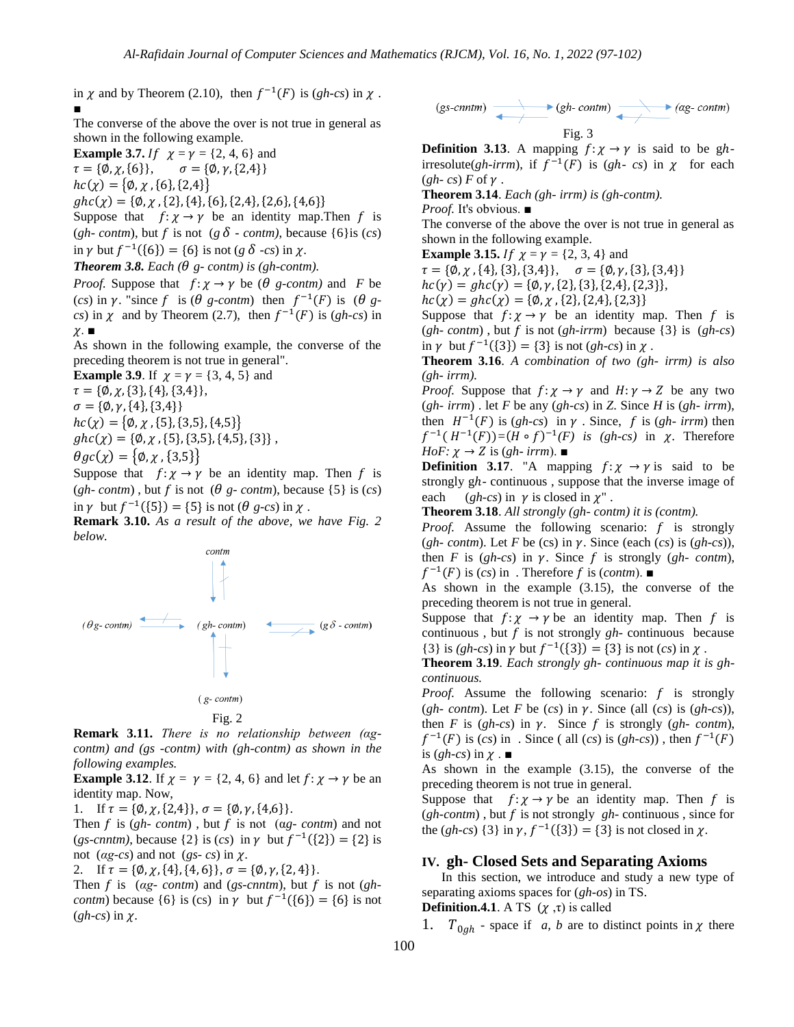in  $\chi$  and by Theorem (2.10), then  $f^{-1}(F)$  is  $(gh-cs)$  in  $\chi$ . ■

The converse of the above the over is not true in general as shown in the following example.

**Example 3.7.** If  $\chi = \gamma = \{2, 4, 6\}$  and

 $\tau = {\emptyset, \chi, \{6\}}, \quad \sigma = {\emptyset, \gamma, \{2,4\}}$ 

 ${hc}(\chi) = {\phi, \chi, \{6\}, \{2,4\}}$ 

 ${abc(\gamma)} = {\emptyset, \gamma, {2}, {4}, {6}, {2,4}, {2,6}, {4,6}}$ 

Suppose that  $f: \chi \to \gamma$  be an identity map. Then f is (*gh- contm*), but f is not ( $g \delta$  *- contm*), because {6}is (*cs*) in  $\gamma$  but  $f^{-1}(\{6\}) = \{6\}$  is not (*g*  $\delta$  -*cs*) in  $\chi$ .

**Theorem 3.8.** Each ( $\theta$  g- contm) is (gh-contm).

*Proof.* Suppose that  $f: \chi \rightarrow \gamma$  be ( $\theta$  *g-contm)* and *F* be (*cs*) in  $\gamma$ . "since f is ( $\theta$  g-contm) then  $f^{-1}(F)$  is ( $\theta$  g*cs*) in  $\chi$  and by Theorem (2.7), then  $f^{-1}(F)$  is (*gh-cs*) in  $\chi$ .  $\blacksquare$ 

As shown in the following example, the converse of the preceding theorem is not true in general".

**Example 3.9.** If  $\chi = \gamma = \{3, 4, 5\}$  and

 ${\tau} = {\emptyset, \chi, {\{3\}, \{4\}, \{3,4\}\}},$ 

 $\sigma = {\emptyset, \gamma, {4}, {3,4}}$ 

 ${hc}(\chi) = {\phi, \chi, \{5\}, \{3,5\}, \{4,5\}}$ 

- ${ g}{h}{c}(\chi) = {\phi, \chi, {5}, {3,5}, {4,5}, {3}}$
- $\theta$ gc( $\chi$ ) = { $\varnothing$ ,  $\chi$ , {3,5}}

Suppose that  $f: \chi \to \gamma$  be an identity map. Then f is (*gh- contm*), but f is not ( $\theta$  *g- contm*), because {5} is (*cs*) in  $\gamma$  but  $f^{-1}(\lbrace 5 \rbrace) = \lbrace 5 \rbrace$  is not ( $\theta$  g-cs) in  $\chi$ .

**Remark 3.10.** *As a result of the above, we have Fig. 2 below.*





**Remark 3.11.** *There is no relationship between (αgcontm) and (gs -contm) with (gh-contm) as shown in the following examples.*

**Example 3.12.** If  $\chi = \gamma = \{2, 4, 6\}$  and let  $f: \chi \rightarrow \gamma$  be an identity map. Now,

1. If  $\tau = {\emptyset, \chi, {2,4}}, \sigma = {\emptyset, \gamma, {4,6}}.$ 

Then f is  $(gh$ - *contm*), but f is not  $(ag$ - *contm*) and not (*gs-cnntm*), because {2} is (*cs*) in  $\gamma$  but  $f^{-1}(\{2\}) = \{2\}$  is not (*αg-cs*) and not (*gs-cs*) in  $χ$ .

2. If  $\tau = {\emptyset, \chi, {4}, {4, 6}}, \sigma = {\emptyset, \gamma, {2, 4}}.$ 

Then f is  $(ag$ - *contm*) and (*gs-cnntm*), but f is not (*ghcontm*) because  $\{6\}$  is (cs) in  $\gamma$  but  $f^{-1}(\{6\}) = \{6\}$  is not  $(gh-cs)$  in  $\chi$ .

$$
\begin{array}{c}\n\text{(gs-cnntm)} \quad \longrightarrow \quad \text{(gh-contm)} \\
\hline\n\text{Fig. 3}\n\end{array}
$$

**Definition 3.13**. A mapping  $f: \chi \rightarrow \gamma$  is said to be ghirresolute(*gh-irrm*), if  $f^{-1}(F)$  is (*gh-cs*) in  $\chi$  for each  $(gh - cs) F$  of  $\gamma$ .

**Theorem 3.14**. *Each (gh- irrm) is (gh-contm).*

*Proof.* It's obvious. ■

The converse of the above the over is not true in general as shown in the following example.

**Example 3.15.** If  $\chi = \gamma = \{2, 3, 4\}$  and

 ${\tau} = {\emptyset, \chi, \{4\}, \{3\}, \{3,4\}\}, \quad {\sigma} = {\emptyset, \gamma, \{3\}, \{3,4\}\}\$ 

 ${hc(\gamma) = ghc(\gamma) = \{\emptyset, \gamma, \{2\}, \{3\}, \{2,4\}, \{2,3\}\},}$ 

 ${hc}(\chi) = g{hc}(\chi) = {\emptyset, \chi, \{2\}, \{2,4\}, \{2,3\}}$ 

Suppose that  $f: \chi \to \gamma$  be an identity map. Then f is  $(gh$ - *contm*), but f is not  $(gh$ -irrm) because  $\{3\}$  is  $(gh$ -cs) in  $\gamma$  but  $f^{-1}(\{3\}) = \{3\}$  is not  $(gh\text{-}cs)$  in  $\chi$ .

**Theorem 3.16**. *A combination of two (gh- irrm) is also (gh- irrm).* 

*Proof.* Suppose that  $f: \chi \to \gamma$  and  $H: \gamma \to Z$  be any two (*gh- irrm*) . let *F* be any (*gh-cs*) in *Z*. Since *H* is (*gh- irrm*), then  $H^{-1}(F)$  is  $(gh-cs)$  in  $\gamma$ . Since, f is  $(gh-irrm)$  then  $f^{-1}(H^{-1}(F)) = (H \circ f)^{-1}(F)$  is (gh-cs) in  $\chi$ . Therefore  $HoF: \chi \rightarrow Z$  is (*gh- irrm*).

**Definition 3.17.** "A mapping  $f: \chi \rightarrow \gamma$  is said to be strongly  $gh$ - continuous, suppose that the inverse image of each (*gh-cs*) in  $\gamma$  is closed in  $\chi$ ".

**Theorem 3.18**. *All strongly (gh- contm) it is (contm).*

*Proof.* Assume the following scenario:  $f$  is strongly (*gh- contm*). Let *F* be (*cs*) in  $\gamma$ . Since (each (*cs*) is (*gh-cs*)), then *F* is  $(gh-cs)$  in  $\gamma$ . Since *f* is strongly  $(gh-contm)$ ,  $f^{-1}(F)$  is  $(cs)$  in . Therefore f is (*contm*).  $\blacksquare$ 

As shown in the example (3.15), the converse of the preceding theorem is not true in general.

Suppose that  $f: \chi \rightarrow \gamma$  be an identity map. Then f is continuous, but  $f$  is not strongly  $gh$ - continuous because {3} is *(gh-cs)* in  $\gamma$  but  $f^{-1}({3}) = {3}$  is not *(cs)* in  $\chi$ .

**Theorem 3.19**. *Each strongly gh- continuous map it is ghcontinuous.* 

*Proof.* Assume the following scenario:  $f$  is strongly (*gh- contm*). Let *F* be (*cs*) in  $\gamma$ . Since (all (*cs*) is (*gh-cs*)), then *F* is (*gh-cs*) in  $\gamma$ . Since *f* is strongly (*gh-contm*),  $f^{-1}(F)$  is  $(cs)$  in . Since ( all  $(cs)$  is  $(gh\text{-}cs)$ ), then  $f^{-1}(F)$ is  $(gh-cs)$  in  $\chi \cdot \blacksquare$ 

As shown in the example (3.15), the converse of the preceding theorem is not true in general.

Suppose that  $f: \chi \to \gamma$  be an identity map. Then f is  $(gh\text{-}contm)$ , but f is not strongly  $gh\text{-}continuous$ , since for the  $(gh-cs)$   $\{3\}$  in  $\gamma$ ,  $f^{-1}(\{3\}) = \{3\}$  is not closed in  $\chi$ .

## **IV. gh- Closed Sets and Separating Axioms**

 In this section, we introduce and study a new type of separating axioms spaces for (*gh-os*) in TS. **Definition.4.1**. A TS  $(\chi, \tau)$  is called

1.  $T_{0ah}$  - space if *a, b* are to distinct points in  $\chi$  there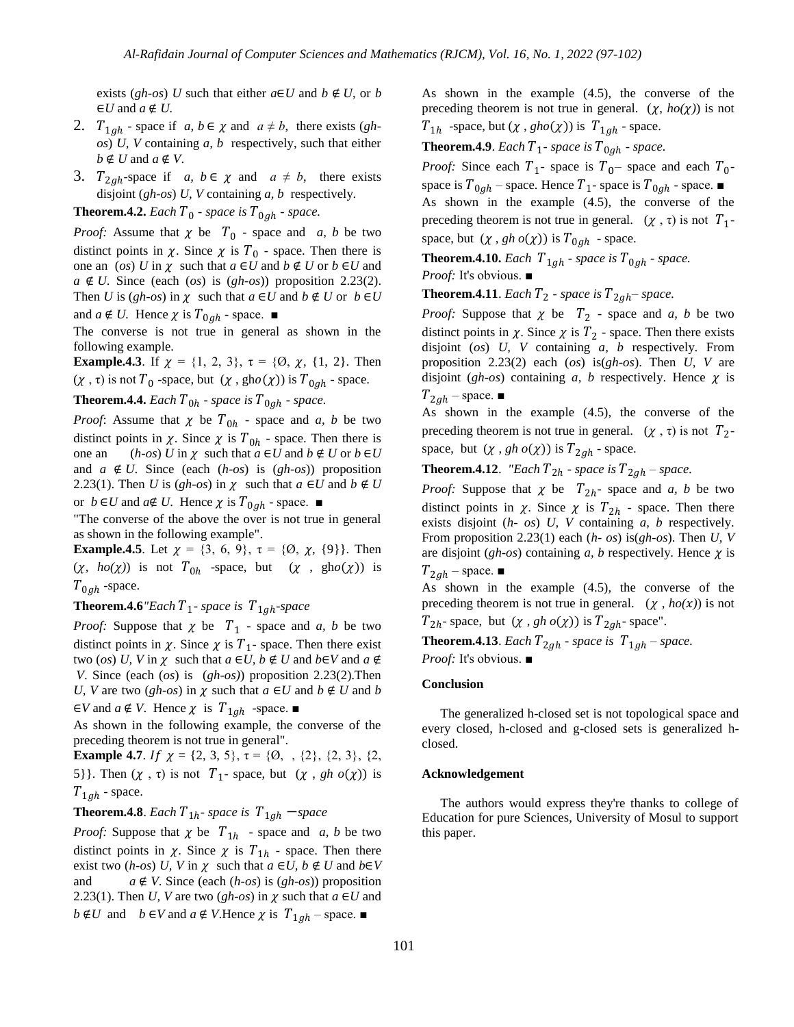exists (*gh-os*) *U* such that either  $a \in U$  and  $b \notin U$ , or *b*  $\in U$  and  $a \notin U$ .

- 2.  $T_{1ah}$  space if *a, b*  $\in \chi$  and  $a \neq b$ , there exists (*ghos*) *U, V* containing *a, b* respectively, such that either  $b \notin U$  and  $a \notin V$ .
- 3.  $T_{2ah}$ -space if *a*,  $b \in \chi$  and  $a \neq b$ , there exists disjoint (*gh-os*) *U, V* containing *a, b* respectively.

**Theorem.4.2.** *Each*  $T_0$  *- space is*  $T_{0ah}$  *- space.* 

*Proof:* Assume that  $\chi$  be  $T_0$  - space and *a, b* be two distinct points in  $\chi$ . Since  $\chi$  is  $T_0$  - space. Then there is one an (*os*) *U* in  $\chi$  such that  $a \in U$  and  $b \notin U$  or  $b \in U$  and  $a \notin U$ . Since (each (*os*) is (*gh-os*)) proposition 2.23(2). Then *U* is  $(gh\text{-}os)$  in  $\chi$  such that  $a \in U$  and  $b \notin U$  or  $b \in U$ and  $a \notin U$ . Hence  $\chi$  is  $T_{0ah}$  - space.  $\blacksquare$ 

The converse is not true in general as shown in the following example.

**Example.4.3**. If  $\chi = \{1, 2, 3\}$ ,  $\tau = \{0, \chi, \{1, 2\}$ . Then  $(\chi, \tau)$  is not  $T_0$  -space, but  $(\chi, \text{gho}(\chi))$  is  $T_{0ah}$  - space.

**Theorem.4.4.** *Each*  $T_{0h}$  *- space is*  $T_{0ah}$  *- space.* 

*Proof:* Assume that  $\chi$  be  $T_{0h}$  - space and *a, b* be two distinct points in  $\chi$ . Since  $\chi$  is  $T_{0h}$  - space. Then there is one an  $(h\text{-}os)$  *U* in  $\chi$  such that  $a \in U$  and  $b \notin U$  or  $b \in U$ and  $a \notin U$ . Since (each  $(h\text{-}os)$  is  $(gh\text{-}os)$ ) proposition 2.23(1). Then *U* is  $(gh\text{-}os)$  in  $\chi$  such that  $a \in U$  and  $b \notin U$ 

or  $b \in U$  and  $a \notin U$ . Hence  $\chi$  is  $T_{0ah}$  - space.  $\blacksquare$ 

"The converse of the above the over is not true in general as shown in the following example".

**Example.4.5**. Let  $\chi = \{3, 6, 9\}$ ,  $\tau = \{0, \chi, \{9\}\}\$ . Then  $(\chi, ho(\chi))$  is not  $T_{0h}$  -space, but  $(\chi, gho(\chi))$  is  $T_{0ah}$  -space.

#### **Theorem.4.6**<sup>*"Each*  $T_1$ - *space* is  $T_{1ah}$ -*space*</sup>

*Proof:* Suppose that  $\chi$  be  $T_1$  - space and *a, b* be two distinct points in  $\chi$ . Since  $\chi$  is  $T_1$ - space. Then there exist two (*os*) *U*, *V* in  $\chi$  such that  $a \in U$ ,  $b \notin U$  and  $b \in V$  and  $a \notin V$ *V*. Since (each (*os*) is (*gh-os)*) proposition 2.23(2).Then *U, V* are two (*gh-os*) in  $\chi$  such that  $a \in U$  and  $b \notin U$  and  $b$  $\in V$  and  $a \notin V$ . Hence  $\chi$  is  $T_{1ah}$  -space.

As shown in the following example, the converse of the preceding theorem is not true in general".

**Example 4.7.** If  $\chi = \{2, 3, 5\}$ ,  $\tau = \{0, \ldots, \{2\}, \{2, 3\}, \{2, 5\}$ 5}. Then  $(\chi, \tau)$  is not  $T_1$ - space, but  $(\chi, gh \circ (\chi))$  is  $T_{1ah}$  - space.

**Theorem.4.8**. *Each*  $T_{1h}$ - *space* is  $T_{1gh}$  -*space* 

*Proof:* Suppose that  $\chi$  be  $T_{1h}$  - space and *a, b* be two distinct points in  $\chi$ . Since  $\chi$  is  $T_{1h}$  - space. Then there exist two  $(h\text{-}os)$  U, V in  $\chi$  such that  $a \in U$ ,  $b \notin U$  and  $b \in V$ and  $a \notin V$ . Since (each  $(h\text{-}os)$  is  $(gh\text{-}os)$ ) proposition 2.23(1). Then *U*, *V* are two  $(gh-os)$  in  $\chi$  such that  $a \in U$  and  $b \notin U$  and  $b \in V$  and  $a \notin V$ . Hence  $\chi$  is  $T_{1gh}$  – space.

As shown in the example (4.5), the converse of the preceding theorem is not true in general.  $(\chi, ho(\chi))$  is not  $T_{1h}$  -space, but  $(\chi, gho(\chi))$  is  $T_{1ah}$  - space.

**Theorem.4.9**. *Each*  $T_1$ - *space is*  $T_{0ah}$  - *space.* 

*Proof:* Since each  $T_1$ - space is  $T_0$ – space and each  $T_0$ space is  $T_{0ah}$  – space. Hence  $T_1$ - space is  $T_{0ah}$  - space. As shown in the example (4.5), the converse of the preceding theorem is not true in general.  $(\chi, \tau)$  is not  $T_1$ space, but  $(\chi, gh \circ (\chi))$  is  $T_{0ah}$  - space.

**Theorem.4.10.** *Each*  $T_{1ah}$  *- space* is  $T_{0ah}$  *- space.* 

*Proof:* It's obvious. ■

**Theorem.4.11**. *Each*  $T_2$  - *space* is  $T_{2ah}$ – *space*.

*Proof:* Suppose that  $\chi$  be  $T_2$  - space and *a, b* be two distinct points in  $\chi$ . Since  $\chi$  is  $T_2$  - space. Then there exists disjoint (*os*) *U, V* containing *a, b* respectively. From proposition 2.23(2) each (*os*) is(*gh-os*). Then *U, V* are disjoint ( $gh$ -os) containing  $a$ ,  $b$  respectively. Hence  $\chi$  is  $T_{2gh}$  – space.  $\blacksquare$ 

As shown in the example (4.5), the converse of the preceding theorem is not true in general.  $(\chi, \tau)$  is not  $T_2$ space, but  $(\chi, gh \circ (\chi))$  is  $T_{2ah}$  - space.

**Theorem.4.12**. *"Each*  $T_{2h}$  - *space is*  $T_{2gh}$  – *space.* 

*Proof:* Suppose that  $\chi$  be  $T_{2h}$ - space and *a*, *b* be two distinct points in  $\chi$ . Since  $\chi$  is  $T_{2h}$  - space. Then there exists disjoint (*h- os*) *U, V* containing *a, b* respectively. From proposition 2.23(1) each (*h- os*) is(*gh-os*). Then *U, V* are disjoint  $(gh-os)$  containing *a*, *b* respectively. Hence  $\chi$  is  $T_{2gh}$  – space.  $\blacksquare$ 

As shown in the example (4.5), the converse of the preceding theorem is not true in general.  $(\chi, ho(x))$  is not  $T_{2h}$ - space, but  $(\chi, gh \, o(\chi))$  is  $T_{2ah}$ - space".

**Theorem.4.13**. *Each*  $T_{2ah}$  - *space* is  $T_{1ah}$  – *space*. *Proof:* It's obvious. ■

**Conclusion**

The generalized h-closed set is not topological space and every closed, h-closed and g-closed sets is generalized hclosed.

#### **Acknowledgement**

The authors would express they're thanks to college of Education for pure Sciences, University of Mosul to support this paper.